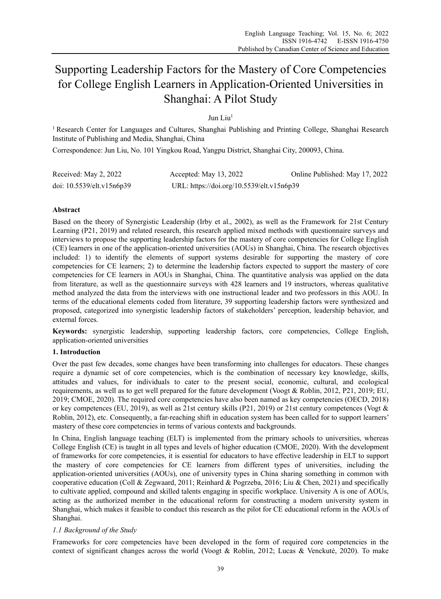# Supporting Leadership Factors for the Mastery of Core Competencies for College English Learners in Application-Oriented Universities in Shanghai: A Pilot Study

# Jun Liu1

<sup>1</sup> Research Center for Languages and Cultures, Shanghai Publishing and Printing College, Shanghai Research Institute of Publishing and Media, Shanghai, China

Correspondence: Jun Liu, No. 101 Yingkou Road, Yangpu District, Shanghai City, 200093, China.

| Received: May 2, 2022     | Accepted: May 13, 2022                    | Online Published: May 17, 2022 |
|---------------------------|-------------------------------------------|--------------------------------|
| doi: 10.5539/elt.v15n6p39 | URL: https://doi.org/10.5539/elt.v15n6p39 |                                |

# **Abstract**

Based on the theory of Synergistic Leadership (Irby et al., 2002), as well as the Framework for 21st Century Learning (P21, 2019) and related research, this research applied mixed methods with questionnaire surveys and interviews to propose the supporting leadership factors for the mastery of core competencies for College English (CE) learners in one of the application-oriented universities (AOUs) in Shanghai, China. The research objectives included: 1) to identify the elements of support systems desirable for supporting the mastery of core competencies for CE learners; 2) to determine the leadership factors expected to support the mastery of core competencies for CE learners in AOUs in Shanghai, China. The quantitative analysis was applied on the data from literature, as well as the questionnaire surveys with 428 learners and 19 instructors, whereas qualitative method analyzed the data from the interviews with one instructional leader and two professors in this AOU. In terms of the educational elements coded from literature, 39 supporting leadership factors were synthesized and proposed, categorized into synergistic leadership factors of stakeholders' perception, leadership behavior, and external forces.

**Keywords:** synergistic leadership, supporting leadership factors, core competencies, College English, application-oriented universities

# **1. Introduction**

Over the past few decades, some changes have been transforming into challenges for educators. These changes require a dynamic set of core competencies, which is the combination of necessary key knowledge, skills, attitudes and values, for individuals to cater to the present social, economic, cultural, and ecological requirements, as well as to get well prepared for the future development (Voogt & Roblin, 2012, P21, 2019; EU, 2019; CMOE, 2020). The required core competencies have also been named as key competencies (OECD, 2018) or key competences (EU, 2019), as well as 21st century skills (P21, 2019) or 21st century competences (Vogt & Roblin, 2012), etc. Consequently, a far-reaching shift in education system has been called for to support learners' mastery of these core competencies in terms of various contexts and backgrounds.

In China, English language teaching (ELT) is implemented from the primary schools to universities, whereas College English (CE) is taught in all types and levels of higher education (CMOE, 2020). With the development of frameworks for core competencies, it is essential for educators to have effective leadership in ELT to support the mastery of core competencies for CE learners from different types of universities, including the application-oriented universities (AOUs), one of university types in China sharing something in common with cooperative education (Coll & Zegwaard, 2011; Reinhard & Pogrzeba, 2016; Liu & Chen, 2021) and specifically to cultivate applied, compound and skilled talents engaging in specific workplace. University A is one of AOUs, acting as the authorized member in the educational reform for constructing a modern university system in Shanghai, which makes it feasible to conduct this research as the pilot for CE educational reform in the AOUs of Shanghai.

# *1.1 Background of the Study*

Frameworks for core competencies have been developed in the form of required core competencies in the context of significant changes across the world (Voogt & Roblin, 2012; Lucas & Venckutė, 2020). To make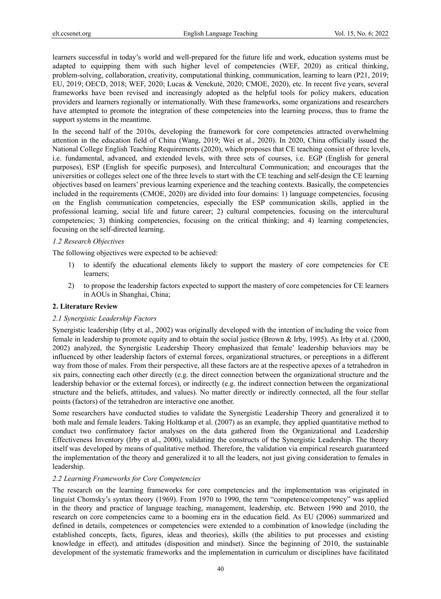learners successful in today's world and well-prepared for the future life and work, education systems must be adapted to equipping them with such higher level of competencies (WEF, 2020) as critical thinking, problem-solving, collaboration, creativity, computational thinking, communication, learning to learn (P21, 2019; EU, 2019; OECD, 2018; WEF, 2020; Lucas & Venckutė, 2020; CMOE, 2020), etc. In recent five years, several frameworks have been revised and increasingly adopted as the helpful tools for policy makers, education providers and learners regionally or internationally. With these frameworks, some organizations and researchers have attempted to promote the integration of these competencies into the learning process, thus to frame the support systems in the meantime.

In the second half of the 2010s, developing the framework for core competencies attracted overwhelming attention in the education field of China (Wang, 2019; Wei et al., 2020). In 2020, China officially issued the National College English Teaching Requirements (2020), which proposes that CE teaching consist of three levels, i.e. fundamental, advanced, and extended levels, with three sets of courses, i.e. EGP (English for general purposes), ESP (English for specific purposes), and Intercultural Communication; and encourages that the universities or colleges select one of the three levels to start with the CE teaching and self-design the CE learning objectives based on learners' previous learning experience and the teaching contexts. Basically, the competencies included in the requirements (CMOE, 2020) are divided into four domains: 1) language competencies, focusing on the English communication competencies, especially the ESP communication skills, applied in the professional learning, social life and future career; 2) cultural competencies, focusing on the intercultural competencies; 3) thinking competencies, focusing on the critical thinking; and 4) learning competencies, focusing on the self-directed learning.

#### *1.2 Research Objectives*

The following objectives were expected to be achieved:

- 1) to identify the educational elements likely to support the mastery of core competencies for CE learners;
- 2) to propose the leadership factors expected to support the mastery of core competencies for CE learners in AOUs in Shanghai, China;

# **2. Literature Review**

#### *2.1 Synergistic Leadership Factors*

Synergistic leadership (Irby et al., 2002) was originally developed with the intention of including the voice from female in leadership to promote equity and to obtain the social justice (Brown & Irby, 1995). As Irby et al. (2000, 2002) analyzed, the Synergistic Leadership Theory emphasized that female' leadership behaviors may be influenced by other leadership factors of external forces, organizational structures, or perceptions in a different way from those of males. From their perspective, all these factors are at the respective apexes of a tetrahedron in six pairs, connecting each other directly (e.g. the direct connection between the organizational structure and the leadership behavior or the external forces), or indirectly (e.g. the indirect connection between the organizational structure and the beliefs, attitudes, and values). No matter directly or indirectly connected, all the four stellar points (factors) of the tetrahedron are interactive one another.

Some researchers have conducted studies to validate the Synergistic Leadership Theory and generalized it to both male and female leaders. Taking Holtkamp et al. (2007) as an example, they applied quantitative method to conduct two confirmatory factor analyses on the data gathered from the Organizational and Leadership Effectiveness Inventory (Irby et al., 2000), validating the constructs of the Synergistic Leadership. The theory itself was developed by means of qualitative method. Therefore, the validation via empirical research guaranteed the implementation of the theory and generalized it to all the leaders, not just giving consideration to females in leadership.

#### *2.2 Learning Frameworks for Core Competencies*

The research on the learning frameworks for core competencies and the implementation was originated in linguist Chomsky's syntax theory (1969). From 1970 to 1990, the term "competence/competency" was applied in the theory and practice of language teaching, management, leadership, etc. Between 1990 and 2010, the research on core competencies came to a booming era in the education field. As EU (2006) summarized and defined in details, competences or competencies were extended to a combination of knowledge (including the established concepts, facts, figures, ideas and theories), skills (the abilities to put processes and existing knowledge in effect), and attitudes (disposition and mindset). Since the beginning of 2010, the sustainable development of the systematic frameworks and the implementation in curriculum or disciplines have facilitated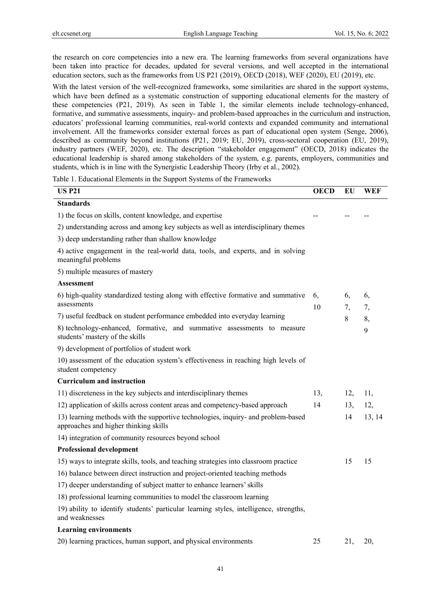j.

the research on core competencies into a new era. The learning frameworks from several organizations have been taken into practice for decades, updated for several versions, and well accepted in the international education sectors, such as the frameworks from US P21 (2019), OECD (2018), WEF (2020), EU (2019), etc.

With the latest version of the well-recognized frameworks, some similarities are shared in the support systems, which have been defined as a systematic construction of supporting educational elements for the mastery of these competencies (P21, 2019). As seen in Table 1, the similar elements include technology-enhanced, formative, and summative assessments, inquiry- and problem-based approaches in the curriculum and instruction, educators' professional learning communities, real-world contexts and expanded community and international involvement. All the frameworks consider external forces as part of educational open system (Senge, 2006), described as community beyond institutions (P21, 2019; EU, 2019), cross-sectoral cooperation (EU, 2019), industry partners (WEF, 2020), etc. The description "stakeholder engagement" (OECD, 2018) indicates the educational leadership is shared among stakeholders of the system, e.g. parents, employers, communities and students, which is in line with the Synergistic Leadership Theory (Irby et al., 2002).

Table 1. Educational Elements in the Support Systems of the Frameworks

| <b>US P21</b>                                                                                                              | <b>OECD</b> | ЕU       | WEF      |
|----------------------------------------------------------------------------------------------------------------------------|-------------|----------|----------|
| <b>Standards</b>                                                                                                           |             |          |          |
| 1) the focus on skills, content knowledge, and expertise                                                                   |             |          |          |
| 2) understanding across and among key subjects as well as interdisciplinary themes                                         |             |          |          |
| 3) deep understanding rather than shallow knowledge                                                                        |             |          |          |
| 4) active engagement in the real-world data, tools, and experts, and in solving<br>meaningful problems                     |             |          |          |
| 5) multiple measures of mastery                                                                                            |             |          |          |
| <b>Assessment</b>                                                                                                          |             |          |          |
| 6) high-quality standardized testing along with effective formative and summative<br>assessments                           | 6,<br>10    | 6,<br>7, | 6,<br>7, |
| 7) useful feedback on student performance embedded into everyday learning                                                  |             | 8        | 8,       |
| 8) technology-enhanced, formative, and summative assessments to measure<br>students' mastery of the skills                 |             |          | 9        |
| 9) development of portfolios of student work                                                                               |             |          |          |
| 10) assessment of the education system's effectiveness in reaching high levels of<br>student competency                    |             |          |          |
| <b>Curriculum and instruction</b>                                                                                          |             |          |          |
| 11) discreteness in the key subjects and interdisciplinary themes                                                          | 13,         | 12,      | 11,      |
| 12) application of skills across content areas and competency-based approach                                               | 14          | 13,      | 12,      |
| 13) learning methods with the supportive technologies, inquiry- and problem-based<br>approaches and higher thinking skills |             | 14       | 13, 14   |
| 14) integration of community resources beyond school                                                                       |             |          |          |
| <b>Professional development</b>                                                                                            |             |          |          |
| 15) ways to integrate skills, tools, and teaching strategies into classroom practice                                       |             | 15       | 15       |
| 16) balance between direct instruction and project-oriented teaching methods                                               |             |          |          |
| 17) deeper understanding of subject matter to enhance learners' skills                                                     |             |          |          |
| 18) professional learning communities to model the classroom learning                                                      |             |          |          |
| 19) ability to identify students' particular learning styles, intelligence, strengths,<br>and weaknesses                   |             |          |          |
| <b>Learning environments</b>                                                                                               |             |          |          |
| 20) learning practices, human support, and physical environments                                                           | 25          | 21,      | 20,      |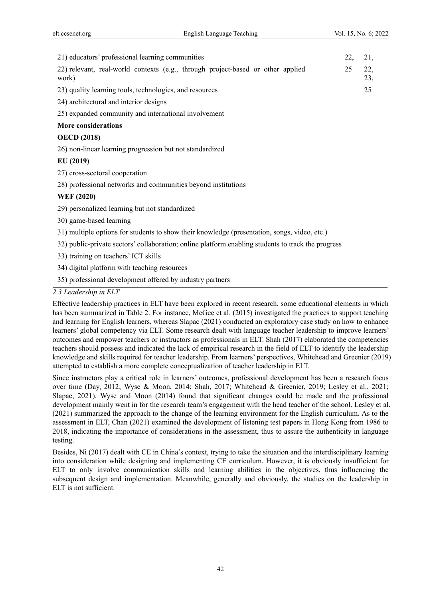| 21) educators' professional learning communities                                                   | 22, | 21,        |
|----------------------------------------------------------------------------------------------------|-----|------------|
| 22) relevant, real-world contexts (e.g., through project-based or other applied<br>work)           | 25  | 22,<br>23, |
| 23) quality learning tools, technologies, and resources                                            |     | 25         |
| 24) architectural and interior designs                                                             |     |            |
| 25) expanded community and international involvement                                               |     |            |
| <b>More considerations</b>                                                                         |     |            |
| <b>OECD</b> (2018)                                                                                 |     |            |
| 26) non-linear learning progression but not standardized                                           |     |            |
| EU(2019)                                                                                           |     |            |
| 27) cross-sectoral cooperation                                                                     |     |            |
| 28) professional networks and communities beyond institutions                                      |     |            |
| <b>WEF</b> (2020)                                                                                  |     |            |
| 29) personalized learning but not standardized                                                     |     |            |
| 30) game-based learning                                                                            |     |            |
| 31) multiple options for students to show their knowledge (presentation, songs, video, etc.)       |     |            |
| 32) public-private sectors' collaboration; online platform enabling students to track the progress |     |            |
| 33) training on teachers' ICT skills                                                               |     |            |
| 34) digital platform with teaching resources                                                       |     |            |
| 35) professional development offered by industry partners                                          |     |            |

*2.3 Leadership in ELT* 

Effective leadership practices in ELT have been explored in recent research, some educational elements in which has been summarized in Table 2. For instance, McGee et al. (2015) investigated the practices to support teaching and learning for English learners, whereas Slapac (2021) conducted an exploratory case study on how to enhance learners' global competency via ELT. Some research dealt with language teacher leadership to improve learners' outcomes and empower teachers or instructors as professionals in ELT. Shah (2017) elaborated the competencies teachers should possess and indicated the lack of empirical research in the field of ELT to identify the leadership knowledge and skills required for teacher leadership. From learners' perspectives, Whitehead and Greenier (2019) attempted to establish a more complete conceptualization of teacher leadership in ELT.

Since instructors play a critical role in learners' outcomes, professional development has been a research focus over time (Day, 2012; Wyse & Moon, 2014; Shah, 2017; Whitehead & Greenier, 2019; Lesley et al., 2021; Slapac, 2021). Wyse and Moon (2014) found that significant changes could be made and the professional development mainly went in for the research team's engagement with the head teacher of the school. Lesley et al. (2021) summarized the approach to the change of the learning environment for the English curriculum. As to the assessment in ELT, Chan (2021) examined the development of listening test papers in Hong Kong from 1986 to 2018, indicating the importance of considerations in the assessment, thus to assure the authenticity in language testing.

Besides, Ni (2017) dealt with CE in China's context, trying to take the situation and the interdisciplinary learning into consideration while designing and implementing CE curriculum. However, it is obviously insufficient for ELT to only involve communication skills and learning abilities in the objectives, thus influencing the subsequent design and implementation. Meanwhile, generally and obviously, the studies on the leadership in ELT is not sufficient.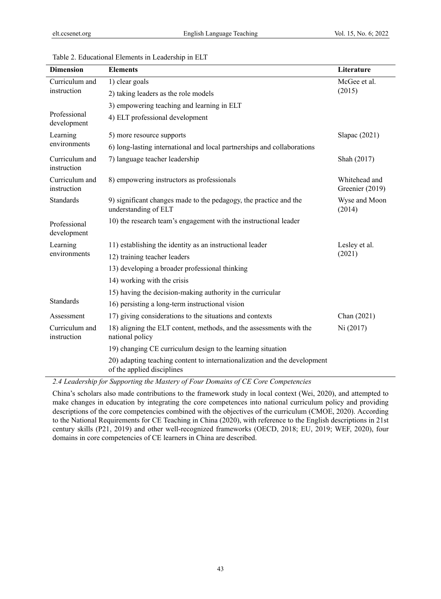| <b>Dimension</b>              | <b>Elements</b>                                                                                         | Literature                       |  |
|-------------------------------|---------------------------------------------------------------------------------------------------------|----------------------------------|--|
| Curriculum and                | 1) clear goals                                                                                          | McGee et al.                     |  |
| instruction                   | 2) taking leaders as the role models                                                                    | (2015)                           |  |
|                               | 3) empowering teaching and learning in ELT                                                              |                                  |  |
| Professional<br>development   | 4) ELT professional development                                                                         |                                  |  |
| Learning                      | 5) more resource supports                                                                               | Slapac (2021)                    |  |
| environments                  | 6) long-lasting international and local partnerships and collaborations                                 |                                  |  |
| Curriculum and<br>instruction | 7) language teacher leadership                                                                          | Shah (2017)                      |  |
| Curriculum and<br>instruction | 8) empowering instructors as professionals                                                              | Whitehead and<br>Greenier (2019) |  |
| Standards                     | 9) significant changes made to the pedagogy, the practice and the<br>understanding of ELT               | Wyse and Moon<br>(2014)          |  |
| Professional<br>development   | 10) the research team's engagement with the instructional leader                                        |                                  |  |
| Learning                      | 11) establishing the identity as an instructional leader                                                | Lesley et al.<br>(2021)          |  |
| environments                  | 12) training teacher leaders                                                                            |                                  |  |
|                               | 13) developing a broader professional thinking                                                          |                                  |  |
|                               | 14) working with the crisis                                                                             |                                  |  |
|                               | 15) having the decision-making authority in the curricular                                              |                                  |  |
| <b>Standards</b>              | 16) persisting a long-term instructional vision                                                         |                                  |  |
| Assessment                    | 17) giving considerations to the situations and contexts                                                | Chan (2021)                      |  |
| Curriculum and<br>instruction | 18) aligning the ELT content, methods, and the assessments with the<br>national policy                  | Ni (2017)                        |  |
|                               | 19) changing CE curriculum design to the learning situation                                             |                                  |  |
|                               | 20) adapting teaching content to internationalization and the development<br>of the applied disciplines |                                  |  |

Table 2. Educational Elements in Leadership in ELT

*2.4 Leadership for Supporting the Mastery of Four Domains of CE Core Competencies* 

China's scholars also made contributions to the framework study in local context (Wei, 2020), and attempted to make changes in education by integrating the core competences into national curriculum policy and providing descriptions of the core competencies combined with the objectives of the curriculum (CMOE, 2020). According to the National Requirements for CE Teaching in China (2020), with reference to the English descriptions in 21st century skills (P21, 2019) and other well-recognized frameworks (OECD, 2018; EU, 2019; WEF, 2020), four domains in core competencies of CE learners in China are described.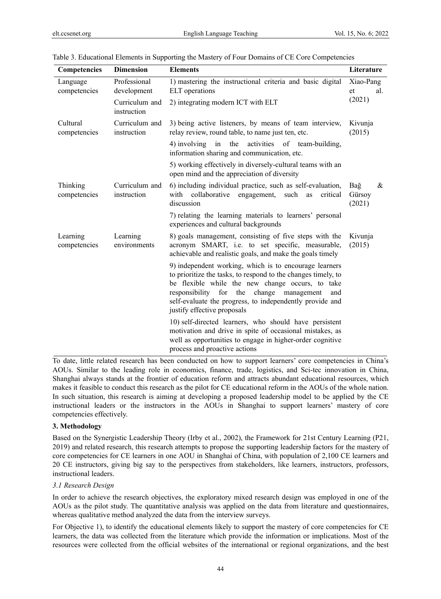| <b>Competencies</b>      | <b>Dimension</b>              | <b>Elements</b>                                                                                                                                                                                                                                                                                                              | Literature                   |
|--------------------------|-------------------------------|------------------------------------------------------------------------------------------------------------------------------------------------------------------------------------------------------------------------------------------------------------------------------------------------------------------------------|------------------------------|
| Language<br>competencies | Professional<br>development   | 1) mastering the instructional criteria and basic digital<br><b>ELT</b> operations                                                                                                                                                                                                                                           | Xiao-Pang<br>et<br>al.       |
|                          | Curriculum and<br>instruction | 2) integrating modern ICT with ELT                                                                                                                                                                                                                                                                                           | (2021)                       |
| Cultural<br>competencies | Curriculum and<br>instruction | 3) being active listeners, by means of team interview,<br>relay review, round table, to name just ten, etc.                                                                                                                                                                                                                  | Kivunja<br>(2015)            |
|                          |                               | 4) involving in<br>the activities of team-building,<br>information sharing and communication, etc.                                                                                                                                                                                                                           |                              |
|                          |                               | 5) working effectively in diversely-cultural teams with an<br>open mind and the appreciation of diversity                                                                                                                                                                                                                    |                              |
| Thinking<br>competencies | Curriculum and<br>instruction | 6) including individual practice, such as self-evaluation,<br>collaborative<br>with<br>engagement,<br>such<br>critical<br>as<br>discussion                                                                                                                                                                                   | Bağ<br>&<br>Gürsoy<br>(2021) |
|                          |                               | 7) relating the learning materials to learners' personal<br>experiences and cultural backgrounds                                                                                                                                                                                                                             |                              |
| Learning<br>competencies | Learning<br>environments      | 8) goals management, consisting of five steps with the<br>acronym SMART, i.e. to set specific, measurable,<br>achievable and realistic goals, and make the goals timely                                                                                                                                                      | Kivunja<br>(2015)            |
|                          |                               | 9) independent working, which is to encourage learners<br>to prioritize the tasks, to respond to the changes timely, to<br>be flexible while the new change occurs, to take<br>responsibility for the<br>change management<br>and<br>self-evaluate the progress, to independently provide and<br>justify effective proposals |                              |
|                          |                               | 10) self-directed learners, who should have persistent<br>motivation and drive in spite of occasional mistakes, as<br>well as opportunities to engage in higher-order cognitive<br>process and proactive actions                                                                                                             |                              |

| Table 3. Educational Elements in Supporting the Mastery of Four Domains of CE Core Competencies |  |  |
|-------------------------------------------------------------------------------------------------|--|--|
|                                                                                                 |  |  |

To date, little related research has been conducted on how to support learners' core competencies in China's AOUs. Similar to the leading role in economics, finance, trade, logistics, and Sci-tec innovation in China, Shanghai always stands at the frontier of education reform and attracts abundant educational resources, which makes it feasible to conduct this research as the pilot for CE educational reform in the AOUs of the whole nation. In such situation, this research is aiming at developing a proposed leadership model to be applied by the CE instructional leaders or the instructors in the AOUs in Shanghai to support learners' mastery of core competencies effectively.

#### **3. Methodology**

Based on the Synergistic Leadership Theory (Irby et al., 2002), the Framework for 21st Century Learning (P21, 2019) and related research, this research attempts to propose the supporting leadership factors for the mastery of core competencies for CE learners in one AOU in Shanghai of China, with population of 2,100 CE learners and 20 CE instructors, giving big say to the perspectives from stakeholders, like learners, instructors, professors, instructional leaders.

#### *3.1 Research Design*

In order to achieve the research objectives, the exploratory mixed research design was employed in one of the AOUs as the pilot study. The quantitative analysis was applied on the data from literature and questionnaires, whereas qualitative method analyzed the data from the interview surveys.

For Objective 1), to identify the educational elements likely to support the mastery of core competencies for CE learners, the data was collected from the literature which provide the information or implications. Most of the resources were collected from the official websites of the international or regional organizations, and the best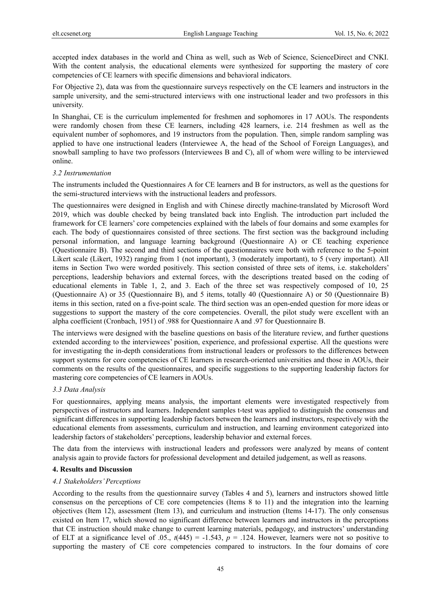accepted index databases in the world and China as well, such as Web of Science, ScienceDirect and CNKI. With the content analysis, the educational elements were synthesized for supporting the mastery of core competencies of CE learners with specific dimensions and behavioral indicators.

For Objective 2), data was from the questionnaire surveys respectively on the CE learners and instructors in the sample university, and the semi-structured interviews with one instructional leader and two professors in this university.

In Shanghai, CE is the curriculum implemented for freshmen and sophomores in 17 AOUs. The respondents were randomly chosen from these CE learners, including 428 learners, i.e. 214 freshmen as well as the equivalent number of sophomores, and 19 instructors from the population. Then, simple random sampling was applied to have one instructional leaders (Interviewee A, the head of the School of Foreign Languages), and snowball sampling to have two professors (Interviewees B and C), all of whom were willing to be interviewed online.

#### *3.2 Instrumentation*

The instruments included the Questionnaires A for CE learners and B for instructors, as well as the questions for the semi-structured interviews with the instructional leaders and professors.

The questionnaires were designed in English and with Chinese directly machine-translated by Microsoft Word 2019, which was double checked by being translated back into English. The introduction part included the framework for CE learners' core competencies explained with the labels of four domains and some examples for each. The body of questionnaires consisted of three sections. The first section was the background including personal information, and language learning background (Questionnaire A) or CE teaching experience (Questionnaire B). The second and third sections of the questionnaires were both with reference to the 5-point Likert scale (Likert, 1932) ranging from 1 (not important), 3 (moderately important), to 5 (very important). All items in Section Two were worded positively. This section consisted of three sets of items, i.e. stakeholders' perceptions, leadership behaviors and external forces, with the descriptions treated based on the coding of educational elements in Table 1, 2, and 3. Each of the three set was respectively composed of 10, 25 (Questionnaire A) or 35 (Questionnaire B), and 5 items, totally 40 (Questionnaire A) or 50 (Questionnaire B) items in this section, rated on a five-point scale. The third section was an open-ended question for more ideas or suggestions to support the mastery of the core competencies. Overall, the pilot study were excellent with an alpha coefficient (Cronbach, 1951) of .988 for Questionnaire A and .97 for Questionnaire B.

The interviews were designed with the baseline questions on basis of the literature review, and further questions extended according to the interviewees' position, experience, and professional expertise. All the questions were for investigating the in-depth considerations from instructional leaders or professors to the differences between support systems for core competencies of CE learners in research-oriented universities and those in AOUs, their comments on the results of the questionnaires, and specific suggestions to the supporting leadership factors for mastering core competencies of CE learners in AOUs.

# *3.3 Data Analysis*

For questionnaires, applying means analysis, the important elements were investigated respectively from perspectives of instructors and learners. Independent samples t-test was applied to distinguish the consensus and significant differences in supporting leadership factors between the learners and instructors, respectively with the educational elements from assessments, curriculum and instruction, and learning environment categorized into leadership factors of stakeholders' perceptions, leadership behavior and external forces.

The data from the interviews with instructional leaders and professors were analyzed by means of content analysis again to provide factors for professional development and detailed judgement, as well as reasons.

# **4. Results and Discussion**

#### *4.1 Stakeholders' Perceptions*

According to the results from the questionnaire survey (Tables 4 and 5), learners and instructors showed little consensus on the perceptions of CE core competencies (Items 8 to 11) and the integration into the learning objectives (Item 12), assessment (Item 13), and curriculum and instruction (Items 14-17). The only consensus existed on Item 17, which showed no significant difference between learners and instructors in the perceptions that CE instruction should make change to current learning materials, pedagogy, and instructors' understanding of ELT at a significance level of .05.,  $t(445) = -1.543$ ,  $p = .124$ . However, learners were not so positive to supporting the mastery of CE core competencies compared to instructors. In the four domains of core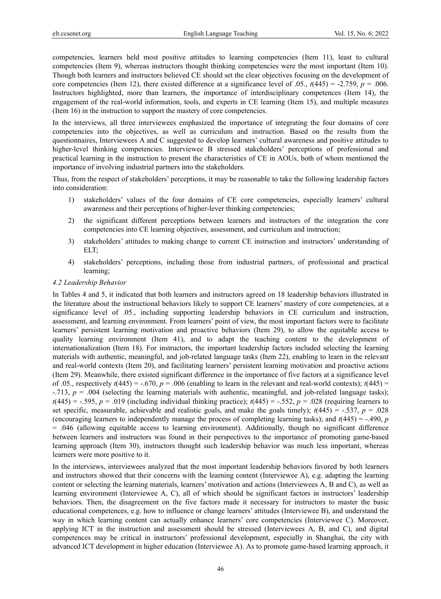competencies, learners held most positive attitudes to learning competencies (Item 11), least to cultural competencies (Item 9), whereas instructors thought thinking competencies were the most important (Item 10). Though both learners and instructors believed CE should set the clear objectives focusing on the development of core competencies (Item 12), there existed difference at a significance level of .05.,  $t(445) = -2.759$ ,  $p = .006$ . Instructors highlighted, more than learners, the importance of interdisciplinary competences (Item 14), the engagement of the real-world information, tools, and experts in CE learning (Item 15), and multiple measures (Item 16) in the instruction to support the mastery of core competencies.

In the interviews, all three interviewees emphasized the importance of integrating the four domains of core competencies into the objectives, as well as curriculum and instruction. Based on the results from the questionnaires, Interviewees A and C suggested to develop learners' cultural awareness and positive attitudes to higher-level thinking competencies. Interviewee B stressed stakeholders' perceptions of professional and practical learning in the instruction to present the characteristics of CE in AOUs, both of whom mentioned the importance of involving industrial partners into the stakeholders.

Thus, from the respect of stakeholders' perceptions, it may be reasonable to take the following leadership factors into consideration:

- 1) stakeholders' values of the four domains of CE core competencies, especially learners' cultural awareness and their perceptions of higher-lever thinking competencies;
- 2) the significant different perceptions between learners and instructors of the integration the core competencies into CE learning objectives, assessment, and curriculum and instruction;
- 3) stakeholders' attitudes to making change to current CE instruction and instructors' understanding of ELT;
- 4) stakeholders' perceptions, including those from industrial partners, of professional and practical learning;

#### *4.2 Leadership Behavior*

In Tables 4 and 5, it indicated that both learners and instructors agreed on 18 leadership behaviors illustrated in the literature about the instructional behaviors likely to support CE learners' mastery of core competencies, at a significance level of .05., including supporting leadership behaviors in CE curriculum and instruction, assessment, and learning environment. From learners' point of view, the most important factors were to facilitate learners' persistent learning motivation and proactive behaviors (Item 29), to allow the equitable access to quality learning environment (Item 41), and to adapt the teaching content to the development of internationalization (Item 18). For instructors, the important leadership factors included selecting the learning materials with authentic, meaningful, and job-related language tasks (Item 22), enabling to learn in the relevant and real-world contexts (Item 20), and facilitating learners' persistent learning motivation and proactive actions (Item 29). Meanwhile, there existed significant difference in the importance of five factors at a significance level of .05., respectively  $t(445) = -.670$ ,  $p = .006$  (enabling to learn in the relevant and real-world contexts);  $t(445) =$ -.713, *p* = .004 (selecting the learning materials with authentic, meaningful, and job-related language tasks);  $t(445) = -.595$ ,  $p = .019$  (including individual thinking practice);  $t(445) = -.552$ ,  $p = .028$  (requiring learners to set specific, measurable, achievable and realistic goals, and make the goals timely);  $t(445) = -.537$ ,  $p = .028$ (encouraging learners to independently manage the process of completing learning tasks); and *t*(445) = -.490, *p* = .046 (allowing equitable access to learning environment). Additionally, though no significant difference between learners and instructors was found in their perspectives to the importance of promoting game-based learning approach (Item 30), instructors thought such leadership behavior was much less important, whereas learners were more positive to it.

In the interviews, interviewees analyzed that the most important leadership behaviors favored by both learners and instructors showed that their concerns with the learning content (Interviewee A), e.g. adapting the learning content or selecting the learning materials, learners' motivation and actions (Interviewees A, B and C), as well as learning environment (Interviewee A, C), all of which should be significant factors in instructors' leadership behaviors. Then, the disagreement on the five factors made it necessary for instructors to master the basic educational competences, e.g. how to influence or change learners' attitudes (Interviewee B), and understand the way in which learning content can actually enhance learners' core competencies (Interviewee C). Moreover, applying ICT in the instruction and assessment should be stressed (Interviewees A, B, and C), and digital competences may be critical in instructors' professional development, especially in Shanghai, the city with advanced ICT development in higher education (Interviewee A). As to promote game-based learning approach, it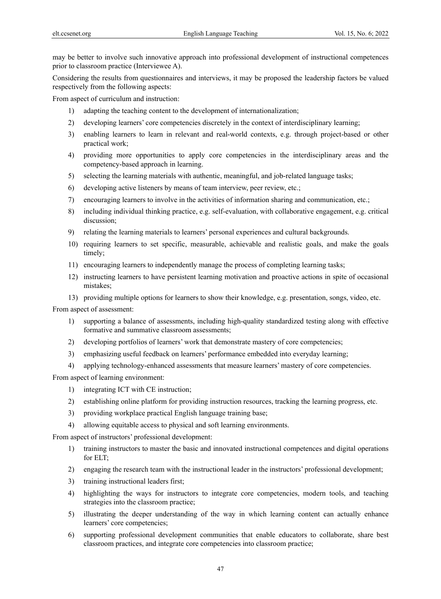may be better to involve such innovative approach into professional development of instructional competences prior to classroom practice (Interviewee A).

Considering the results from questionnaires and interviews, it may be proposed the leadership factors be valued respectively from the following aspects:

From aspect of curriculum and instruction:

- 1) adapting the teaching content to the development of internationalization;
- 2) developing learners' core competencies discretely in the context of interdisciplinary learning;
- 3) enabling learners to learn in relevant and real-world contexts, e.g. through project-based or other practical work;
- 4) providing more opportunities to apply core competencies in the interdisciplinary areas and the competency-based approach in learning.
- 5) selecting the learning materials with authentic, meaningful, and job-related language tasks;
- 6) developing active listeners by means of team interview, peer review, etc.;
- 7) encouraging learners to involve in the activities of information sharing and communication, etc.;
- 8) including individual thinking practice, e.g. self-evaluation, with collaborative engagement, e.g. critical discussion;
- 9) relating the learning materials to learners' personal experiences and cultural backgrounds.
- 10) requiring learners to set specific, measurable, achievable and realistic goals, and make the goals timely;
- 11) encouraging learners to independently manage the process of completing learning tasks;
- 12) instructing learners to have persistent learning motivation and proactive actions in spite of occasional mistakes;

13) providing multiple options for learners to show their knowledge, e.g. presentation, songs, video, etc.

From aspect of assessment:

- 1) supporting a balance of assessments, including high-quality standardized testing along with effective formative and summative classroom assessments;
- 2) developing portfolios of learners' work that demonstrate mastery of core competencies;
- 3) emphasizing useful feedback on learners' performance embedded into everyday learning;
- 4) applying technology-enhanced assessments that measure learners' mastery of core competencies.

From aspect of learning environment:

- 1) integrating ICT with CE instruction;
- 2) establishing online platform for providing instruction resources, tracking the learning progress, etc.
- 3) providing workplace practical English language training base;
- 4) allowing equitable access to physical and soft learning environments.

From aspect of instructors' professional development:

- 1) training instructors to master the basic and innovated instructional competences and digital operations for ELT;
- 2) engaging the research team with the instructional leader in the instructors' professional development;
- 3) training instructional leaders first;
- 4) highlighting the ways for instructors to integrate core competencies, modern tools, and teaching strategies into the classroom practice;
- 5) illustrating the deeper understanding of the way in which learning content can actually enhance learners' core competencies;
- 6) supporting professional development communities that enable educators to collaborate, share best classroom practices, and integrate core competencies into classroom practice;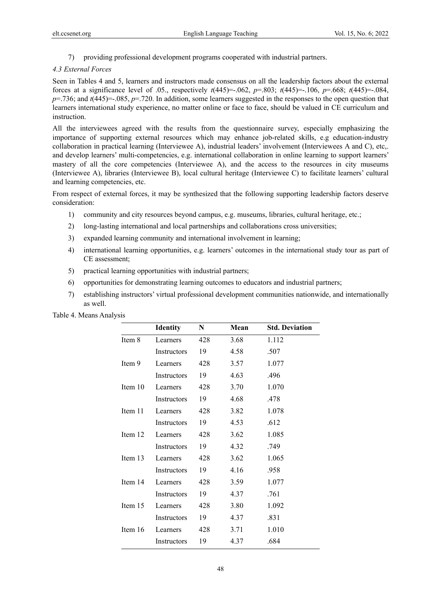7) providing professional development programs cooperated with industrial partners.

#### *4.3 External Forces*

Seen in Tables 4 and 5, learners and instructors made consensus on all the leadership factors about the external forces at a significance level of .05., respectively *t*(445)=-.062, *p*=.803; *t*(445)=-.106, *p*=.668; *t*(445)=-.084, *p*=.736; and *t*(445)=-.085, *p*=.720. In addition, some learners suggested in the responses to the open question that learners international study experience, no matter online or face to face, should be valued in CE curriculum and instruction.

All the interviewees agreed with the results from the questionnaire survey, especially emphasizing the importance of supporting external resources which may enhance job-related skills, e.g education-industry collaboration in practical learning (Interviewee A), industrial leaders' involvement (Interviewees A and C), etc,. and develop learners' multi-competencies, e.g. international collaboration in online learning to support learners' mastery of all the core competencies (Interviewee A), and the access to the resources in city museums (Interviewee A), libraries (Interviewee B), local cultural heritage (Interviewee C) to facilitate learners' cultural and learning competencies, etc.

From respect of external forces, it may be synthesized that the following supporting leadership factors deserve consideration:

- 1) community and city resources beyond campus, e.g. museums, libraries, cultural heritage, etc.;
- 2) long-lasting international and local partnerships and collaborations cross universities;
- 3) expanded learning community and international involvement in learning;
- 4) international learning opportunities, e.g. learners' outcomes in the international study tour as part of CE assessment;
- 5) practical learning opportunities with industrial partners;
- 6) opportunities for demonstrating learning outcomes to educators and industrial partners;
- 7) establishing instructors' virtual professional development communities nationwide, and internationally as well.

|         | <b>Identity</b>    | N   | Mean | <b>Std. Deviation</b> |
|---------|--------------------|-----|------|-----------------------|
| Item 8  | Learners           | 428 | 3.68 | 1.112                 |
|         | Instructors        | 19  | 4.58 | .507                  |
| Item 9  | Learners           | 428 | 3.57 | 1.077                 |
|         | Instructors        | 19  | 4.63 | .496                  |
| Item 10 | Learners           | 428 | 3.70 | 1.070                 |
|         | Instructors        | 19  | 4.68 | .478                  |
| Item 11 | Learners           | 428 | 3.82 | 1.078                 |
|         | Instructors        | 19  | 4.53 | .612                  |
| Item 12 | Learners           | 428 | 3.62 | 1.085                 |
|         | Instructors        | 19  | 4.32 | .749                  |
| Item 13 | Learners           | 428 | 3.62 | 1.065                 |
|         | <b>Instructors</b> | 19  | 4.16 | .958                  |
| Item 14 | Learners           | 428 | 3.59 | 1.077                 |
|         | Instructors        | 19  | 4.37 | .761                  |
| Item 15 | Learners           | 428 | 3.80 | 1.092                 |
|         | Instructors        | 19  | 4.37 | .831                  |
| Item 16 | Learners           | 428 | 3.71 | 1.010                 |
|         | Instructors        | 19  | 4.37 | .684                  |

Table 4. Means Analysis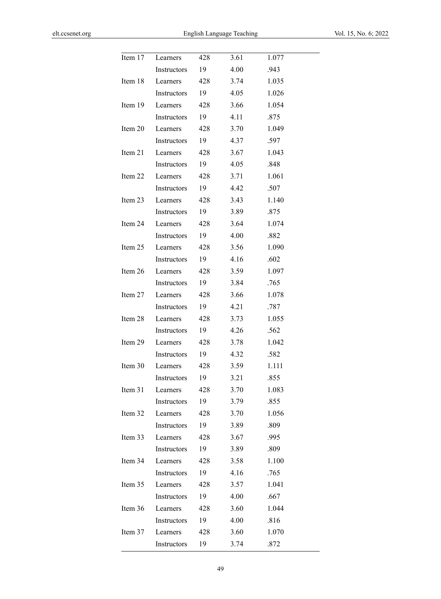| Item 17 | Learners    | 428 | 3.61 | 1.077 |  |
|---------|-------------|-----|------|-------|--|
|         | Instructors | 19  | 4.00 | .943  |  |
| Item 18 | Learners    | 428 | 3.74 | 1.035 |  |
|         | Instructors | 19  | 4.05 | 1.026 |  |
| Item 19 | Learners    | 428 | 3.66 | 1.054 |  |
|         | Instructors | 19  | 4.11 | .875  |  |
| Item 20 | Learners    | 428 | 3.70 | 1.049 |  |
|         | Instructors | 19  | 4.37 | .597  |  |
| Item 21 | Learners    | 428 | 3.67 | 1.043 |  |
|         | Instructors | 19  | 4.05 | .848  |  |
| Item 22 | Learners    | 428 | 3.71 | 1.061 |  |
|         | Instructors | 19  | 4.42 | .507  |  |
| Item 23 | Learners    | 428 | 3.43 | 1.140 |  |
|         | Instructors | 19  | 3.89 | .875  |  |
| Item 24 | Learners    | 428 | 3.64 | 1.074 |  |
|         | Instructors | 19  | 4.00 | .882  |  |
| Item 25 | Learners    | 428 | 3.56 | 1.090 |  |
|         | Instructors | 19  | 4.16 | .602  |  |
| Item 26 | Learners    | 428 | 3.59 | 1.097 |  |
|         | Instructors | 19  | 3.84 | .765  |  |
| Item 27 | Learners    | 428 | 3.66 | 1.078 |  |
|         | Instructors | 19  | 4.21 | .787  |  |
| Item 28 | Learners    | 428 | 3.73 | 1.055 |  |
|         | Instructors | 19  | 4.26 | .562  |  |
| Item 29 | Learners    | 428 | 3.78 | 1.042 |  |
|         | Instructors | 19  | 4.32 | .582  |  |
| Item 30 | Learners    | 428 | 3.59 | 1.111 |  |
|         | Instructors | 19  | 3.21 | .855  |  |
| Item 31 | Learners    | 428 | 3.70 | 1.083 |  |
|         | Instructors | 19  | 3.79 | .855  |  |
| Item 32 | Learners    | 428 | 3.70 | 1.056 |  |
|         | Instructors | 19  | 3.89 | .809  |  |
| Item 33 | Learners    | 428 | 3.67 | .995  |  |
|         | Instructors | 19  | 3.89 | .809  |  |
| Item 34 | Learners    | 428 | 3.58 | 1.100 |  |
|         | Instructors | 19  | 4.16 | .765  |  |
| Item 35 | Learners    | 428 | 3.57 | 1.041 |  |
|         | Instructors | 19  | 4.00 | .667  |  |
| Item 36 | Learners    | 428 | 3.60 | 1.044 |  |
|         | Instructors | 19  | 4.00 | .816  |  |
| Item 37 | Learners    | 428 | 3.60 | 1.070 |  |
|         | Instructors | 19  | 3.74 | .872  |  |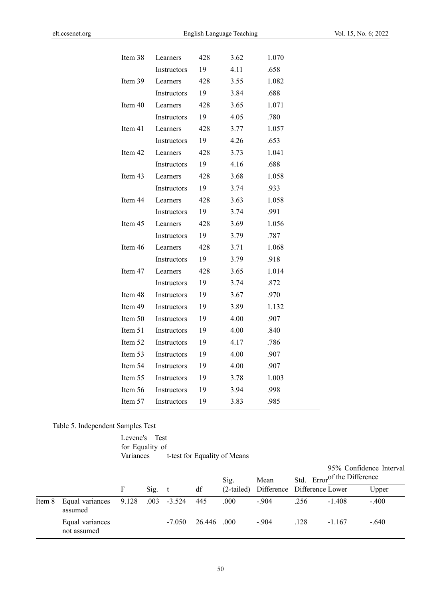| Item 38 | Learners    | 428 | 3.62 | 1.070 |
|---------|-------------|-----|------|-------|
|         | Instructors | 19  | 4.11 | .658  |
| Item 39 | Learners    | 428 | 3.55 | 1.082 |
|         | Instructors | 19  | 3.84 | .688  |
| Item 40 | Learners    | 428 | 3.65 | 1.071 |
|         | Instructors | 19  | 4.05 | .780  |
| Item 41 | Learners    | 428 | 3.77 | 1.057 |
|         | Instructors | 19  | 4.26 | .653  |
| Item 42 | Learners    | 428 | 3.73 | 1.041 |
|         | Instructors | 19  | 4.16 | .688  |
| Item 43 | Learners    | 428 | 3.68 | 1.058 |
|         | Instructors | 19  | 3.74 | .933  |
| Item 44 | Learners    | 428 | 3.63 | 1.058 |
|         | Instructors | 19  | 3.74 | .991  |
| Item 45 | Learners    | 428 | 3.69 | 1.056 |
|         | Instructors | 19  | 3.79 | .787  |
| Item 46 | Learners    | 428 | 3.71 | 1.068 |
|         | Instructors | 19  | 3.79 | .918  |
| Item 47 | Learners    | 428 | 3.65 | 1.014 |
|         | Instructors | 19  | 3.74 | .872  |
| Item 48 | Instructors | 19  | 3.67 | .970  |
| Item 49 | Instructors | 19  | 3.89 | 1.132 |
| Item 50 | Instructors | 19  | 4.00 | .907  |
| Item 51 | Instructors | 19  | 4.00 | .840  |
| Item 52 | Instructors | 19  | 4.17 | .786  |
| Item 53 | Instructors | 19  | 4.00 | .907  |
| Item 54 | Instructors | 19  | 4.00 | .907  |
| Item 55 | Instructors | 19  | 3.78 | 1.003 |
| Item 56 | Instructors | 19  | 3.94 | .998  |
| Item 57 | Instructors | 19  | 3.83 | .985  |

Table 5. Independent Samples Test

|        |                                | for Equality of<br>Variances | Levene's Test |             |        | t-test for Equality of Means |                             |      |                                         |                         |
|--------|--------------------------------|------------------------------|---------------|-------------|--------|------------------------------|-----------------------------|------|-----------------------------------------|-------------------------|
|        |                                |                              |               |             |        | Sig.                         | Mean                        |      | Std. Error <sup>of the Difference</sup> | 95% Confidence Interval |
|        |                                | F                            |               | $Sig. \t t$ | df     | $(2$ -tailed)                | Difference Difference Lower |      |                                         | Upper                   |
| Item 8 | Equal variances<br>assumed     | 9.128                        | .003          | $-3.524$    | 445    | .000                         | $-.904$                     | .256 | $-1.408$                                | $-.400$                 |
|        | Equal variances<br>not assumed |                              |               | $-7.050$    | 26.446 | .000.                        | $-.904$                     | .128 | $-1.167$                                | $-.640$                 |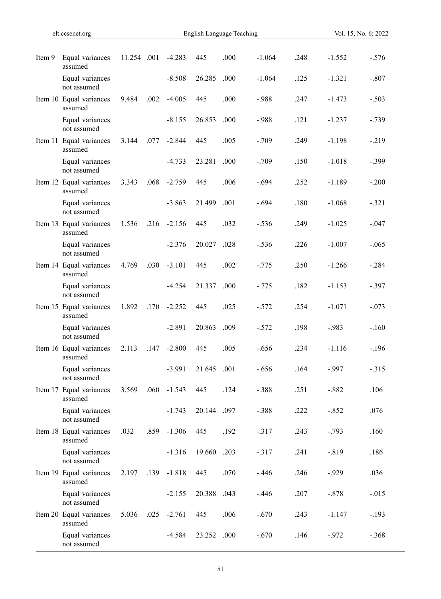| Item 9 | Equal variances<br>assumed         | 11.254 .001 |      | $-4.283$ | 445    | .000 | $-1.064$ | .248 | $-1.552$ | $-.576$  |
|--------|------------------------------------|-------------|------|----------|--------|------|----------|------|----------|----------|
|        | Equal variances<br>not assumed     |             |      | $-8.508$ | 26.285 | .000 | $-1.064$ | .125 | $-1.321$ | $-.807$  |
|        | Item 10 Equal variances<br>assumed | 9.484       | .002 | $-4.005$ | 445    | .000 | $-.988$  | .247 | $-1.473$ | $-.503$  |
|        | Equal variances<br>not assumed     |             |      | $-8.155$ | 26.853 | .000 | $-.988$  | .121 | $-1.237$ | $-.739$  |
|        | Item 11 Equal variances<br>assumed | 3.144       | .077 | $-2.844$ | 445    | .005 | $-.709$  | .249 | $-1.198$ | $-219$   |
|        | Equal variances<br>not assumed     |             |      | $-4.733$ | 23.281 | .000 | $-.709$  | .150 | $-1.018$ | $-.399$  |
|        | Item 12 Equal variances<br>assumed | 3.343       | .068 | $-2.759$ | 445    | .006 | $-.694$  | .252 | $-1.189$ | $-.200$  |
|        | Equal variances<br>not assumed     |             |      | $-3.863$ | 21.499 | .001 | $-.694$  | .180 | $-1.068$ | $-.321$  |
|        | Item 13 Equal variances<br>assumed | 1.536       | .216 | $-2.156$ | 445    | .032 | $-.536$  | .249 | $-1.025$ | $-.047$  |
|        | Equal variances<br>not assumed     |             |      | $-2.376$ | 20.027 | .028 | $-.536$  | .226 | $-1.007$ | $-.065$  |
|        | Item 14 Equal variances<br>assumed | 4.769       | .030 | $-3.101$ | 445    | .002 | $-.775$  | .250 | $-1.266$ | $-.284$  |
|        | Equal variances<br>not assumed     |             |      | $-4.254$ | 21.337 | .000 | $-.775$  | .182 | $-1.153$ | $-.397$  |
|        | Item 15 Equal variances<br>assumed | 1.892       | .170 | $-2.252$ | 445    | .025 | $-.572$  | .254 | $-1.071$ | $-.073$  |
|        | Equal variances<br>not assumed     |             |      | $-2.891$ | 20.863 | .009 | $-.572$  | .198 | $-.983$  | $-.160$  |
|        | Item 16 Equal variances<br>assumed | 2.113       | .147 | $-2.800$ | 445    | .005 | $-.656$  | .234 | $-1.116$ | $-.196$  |
|        | Equal variances<br>not assumed     |             |      | $-3.991$ | 21.645 | .001 | $-.656$  | .164 | $-.997$  | $-315$   |
|        | Item 17 Equal variances<br>assumed | 3.569       | .060 | $-1.543$ | 445    | .124 | $-.388$  | .251 | $-.882$  | .106     |
|        | Equal variances<br>not assumed     |             |      | $-1.743$ | 20.144 | .097 | $-.388$  | .222 | $-.852$  | .076     |
|        | Item 18 Equal variances<br>assumed | .032        | .859 | $-1.306$ | 445    | .192 | $-.317$  | .243 | $-.793$  | .160     |
|        | Equal variances<br>not assumed     |             |      | $-1.316$ | 19.660 | .203 | $-.317$  | .241 | $-0.819$ | .186     |
|        | Item 19 Equal variances<br>assumed | 2.197       | .139 | $-1.818$ | 445    | .070 | $-.446$  | .246 | $-0.929$ | .036     |
|        | Equal variances<br>not assumed     |             |      | $-2.155$ | 20.388 | .043 | $-.446$  | .207 | $-.878$  | $-0.015$ |
|        | Item 20 Equal variances<br>assumed | 5.036       | .025 | $-2.761$ | 445    | .006 | $-.670$  | .243 | $-1.147$ | $-.193$  |
|        | Equal variances<br>not assumed     |             |      | $-4.584$ | 23.252 | .000 | $-.670$  | .146 | $-0.972$ | $-.368$  |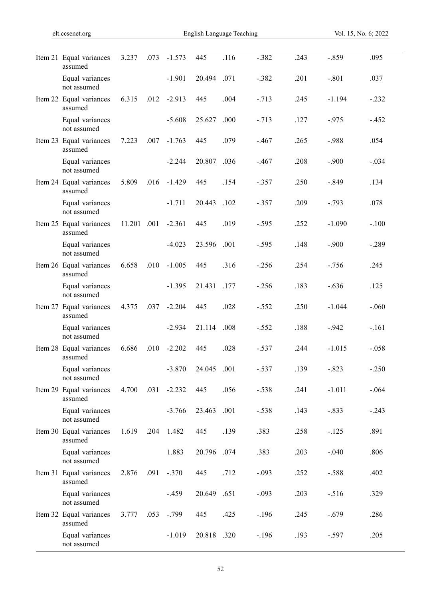÷,

| Item 21 Equal variances<br>assumed | 3.237       | .073 | $-1.573$ | 445    | .116 | $-.382$ | .243 | $-.859$  | .095     |
|------------------------------------|-------------|------|----------|--------|------|---------|------|----------|----------|
| Equal variances<br>not assumed     |             |      | $-1.901$ | 20.494 | .071 | $-.382$ | .201 | $-.801$  | .037     |
| Item 22 Equal variances<br>assumed | 6.315       | .012 | $-2.913$ | 445    | .004 | $-.713$ | .245 | $-1.194$ | $-.232$  |
| Equal variances<br>not assumed     |             |      | $-5.608$ | 25.627 | .000 | $-.713$ | .127 | $-.975$  | $-452$   |
| Item 23 Equal variances<br>assumed | 7.223       | .007 | $-1.763$ | 445    | .079 | $-.467$ | .265 | $-.988$  | .054     |
| Equal variances<br>not assumed     |             |      | $-2.244$ | 20.807 | .036 | $-.467$ | .208 | $-.900$  | $-.034$  |
| Item 24 Equal variances<br>assumed | 5.809       | .016 | $-1.429$ | 445    | .154 | $-.357$ | .250 | $-.849$  | .134     |
| Equal variances<br>not assumed     |             |      | $-1.711$ | 20.443 | .102 | $-.357$ | .209 | $-.793$  | .078     |
| Item 25 Equal variances<br>assumed | 11.201 .001 |      | $-2.361$ | 445    | .019 | $-.595$ | .252 | $-1.090$ | $-.100$  |
| Equal variances<br>not assumed     |             |      | $-4.023$ | 23.596 | .001 | $-.595$ | .148 | $-.900$  | $-.289$  |
| Item 26 Equal variances<br>assumed | 6.658       | .010 | $-1.005$ | 445    | .316 | $-.256$ | .254 | $-.756$  | .245     |
| Equal variances<br>not assumed     |             |      | $-1.395$ | 21.431 | .177 | $-.256$ | .183 | $-.636$  | .125     |
| Item 27 Equal variances<br>assumed | 4.375       | .037 | $-2.204$ | 445    | .028 | $-.552$ | .250 | $-1.044$ | $-.060$  |
| Equal variances<br>not assumed     |             |      | $-2.934$ | 21.114 | .008 | $-.552$ | .188 | $-.942$  | $-.161$  |
| Item 28 Equal variances<br>assumed | 6.686       | .010 | $-2.202$ | 445    | .028 | $-.537$ | .244 | $-1.015$ | $-.058$  |
| Equal variances<br>not assumed     |             |      | $-3.870$ | 24.045 | .001 | $-.537$ | .139 | $-.823$  | $-.250$  |
| Item 29 Equal variances<br>assumed | 4.700       | .031 | $-2.232$ | 445    | .056 | $-.538$ | .241 | $-1.011$ | $-0.064$ |
| Equal variances<br>not assumed     |             |      | $-3.766$ | 23.463 | .001 | $-.538$ | .143 | $-.833$  | $-.243$  |
| Item 30 Equal variances<br>assumed | 1.619       | .204 | 1.482    | 445    | .139 | .383    | .258 | $-.125$  | .891     |
| Equal variances<br>not assumed     |             |      | 1.883    | 20.796 | .074 | .383    | .203 | $-.040$  | .806     |
| Item 31 Equal variances<br>assumed | 2.876       | .091 | $-.370$  | 445    | .712 | $-.093$ | .252 | $-.588$  | .402     |
| Equal variances<br>not assumed     |             |      | $-.459$  | 20.649 | .651 | $-.093$ | .203 | $-.516$  | .329     |
| Item 32 Equal variances<br>assumed | 3.777       | .053 | $-.799$  | 445    | .425 | $-.196$ | .245 | $-.679$  | .286     |
| Equal variances<br>not assumed     |             |      | $-1.019$ | 20.818 | .320 | $-.196$ | .193 | $-.597$  | .205     |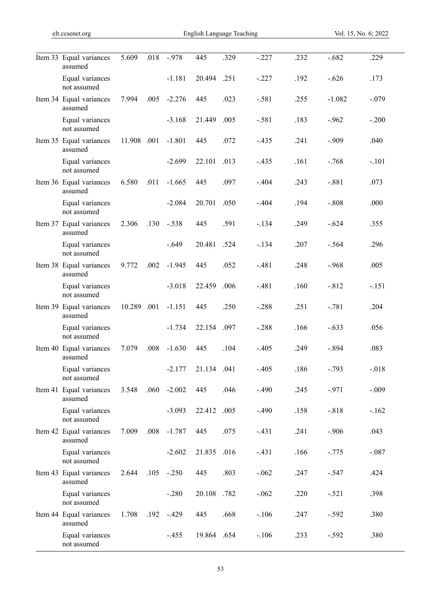| Item 33 Equal variances<br>assumed | 5.609       | .018 | $-.978$  | 445    | .329 | $-.227$ | .232 | $-.682$  | .229    |
|------------------------------------|-------------|------|----------|--------|------|---------|------|----------|---------|
| Equal variances<br>not assumed     |             |      | $-1.181$ | 20.494 | .251 | $-.227$ | .192 | $-.626$  | .173    |
| Item 34 Equal variances<br>assumed | 7.994       | .005 | $-2.276$ | 445    | .023 | $-.581$ | .255 | $-1.082$ | $-.079$ |
| Equal variances<br>not assumed     |             |      | $-3.168$ | 21.449 | .005 | $-.581$ | .183 | $-.962$  | $-.200$ |
| Item 35 Equal variances<br>assumed | 11.908 .001 |      | $-1.801$ | 445    | .072 | $-.435$ | .241 | $-.909$  | .040    |
| Equal variances<br>not assumed     |             |      | $-2.699$ | 22.101 | .013 | $-.435$ | .161 | $-.768$  | $-.101$ |
| Item 36 Equal variances<br>assumed | 6.580       | .011 | $-1.665$ | 445    | .097 | $-.404$ | .243 | $-.881$  | .073    |
| Equal variances<br>not assumed     |             |      | $-2.084$ | 20.701 | .050 | $-.404$ | .194 | $-.808$  | .000    |
| Item 37 Equal variances<br>assumed | 2.306       | .130 | $-.538$  | 445    | .591 | $-.134$ | .249 | $-.624$  | .355    |
| Equal variances<br>not assumed     |             |      | $-.649$  | 20.481 | .524 | $-.134$ | .207 | $-.564$  | .296    |
| Item 38 Equal variances<br>assumed | 9.772       | .002 | $-1.945$ | 445    | .052 | $-.481$ | .248 | $-.968$  | .005    |
| Equal variances<br>not assumed     |             |      | $-3.018$ | 22.459 | .006 | $-.481$ | .160 | $-.812$  | $-.151$ |
| Item 39 Equal variances<br>assumed | 10.289 .001 |      | $-1.151$ | 445    | .250 | $-.288$ | .251 | $-.781$  | .204    |
| Equal variances<br>not assumed     |             |      | $-1.734$ | 22.154 | .097 | $-.288$ | .166 | $-.633$  | .056    |
| Item 40 Equal variances<br>assumed | 7.079       | .008 | $-1.630$ | 445    | .104 | $-.405$ | .249 | $-.894$  | .083    |
| Equal variances<br>not assumed     |             |      | $-2.177$ | 21.134 | .041 | $-.405$ | .186 | $-.793$  | $-.018$ |
| Item 41 Equal variances<br>assumed | 3.548       | .060 | $-2.002$ | 445    | .046 | $-.490$ | .245 | $-.971$  | $-.009$ |
| Equal variances<br>not assumed     |             |      | $-3.093$ | 22.412 | .005 | $-.490$ | .158 | $-.818$  | $-.162$ |
| Item 42 Equal variances<br>assumed | 7.009       | .008 | $-1.787$ | 445    | .075 | $-.431$ | .241 | $-.906$  | .043    |
| Equal variances<br>not assumed     |             |      | $-2.602$ | 21.835 | .016 | $-.431$ | .166 | $-.775$  | $-.087$ |
| Item 43 Equal variances<br>assumed | 2.644       | .105 | $-.250$  | 445    | .803 | $-.062$ | .247 | $-.547$  | .424    |
| Equal variances<br>not assumed     |             |      | $-.280$  | 20.108 | .782 | $-.062$ | .220 | $-.521$  | .398    |
| Item 44 Equal variances<br>assumed | 1.708       | .192 | $-.429$  | 445    | .668 | $-.106$ | .247 | $-.592$  | .380    |
| Equal variances<br>not assumed     |             |      | $-.455$  | 19.864 | .654 | $-.106$ | .233 | $-.592$  | .380    |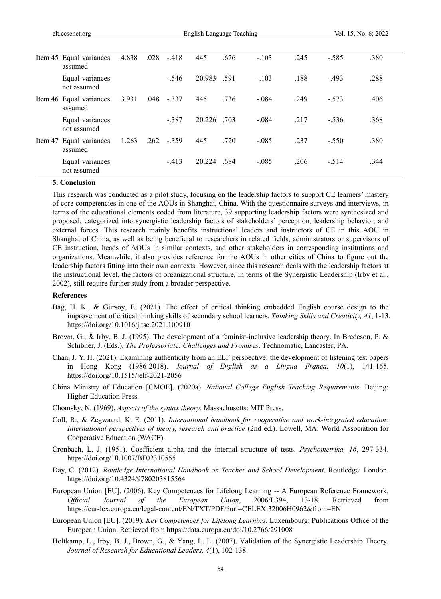|  | Item 45 Equal variances<br>assumed | 4.838 | .028 | $-.418$ | 445         | .676 | $-.103$ | .245 | $-.585$ | .380 |
|--|------------------------------------|-------|------|---------|-------------|------|---------|------|---------|------|
|  | Equal variances<br>not assumed     |       |      | $-.546$ | 20.983 .591 |      | $-.103$ | .188 | $-.493$ | .288 |
|  | Item 46 Equal variances<br>assumed | 3.931 | .048 | $-.337$ | 445         | .736 | $-.084$ | .249 | $-.573$ | .406 |
|  | Equal variances<br>not assumed     |       |      | $-387$  | 20.226 .703 |      | $-.084$ | .217 | $-.536$ | .368 |
|  | Item 47 Equal variances<br>assumed | 1.263 | .262 | $-.359$ | 445         | .720 | $-.085$ | .237 | $-.550$ | .380 |
|  | Equal variances<br>not assumed     |       |      | $-413$  | 20.224      | .684 | $-.085$ | .206 | $-.514$ | .344 |

#### **5. Conclusion**

This research was conducted as a pilot study, focusing on the leadership factors to support CE learners' mastery of core competencies in one of the AOUs in Shanghai, China. With the questionnaire surveys and interviews, in terms of the educational elements coded from literature, 39 supporting leadership factors were synthesized and proposed, categorized into synergistic leadership factors of stakeholders' perception, leadership behavior, and external forces. This research mainly benefits instructional leaders and instructors of CE in this AOU in Shanghai of China, as well as being beneficial to researchers in related fields, administrators or supervisors of CE instruction, heads of AOUs in similar contexts, and other stakeholders in corresponding institutions and organizations. Meanwhile, it also provides reference for the AOUs in other cities of China to figure out the leadership factors fitting into their own contexts. However, since this research deals with the leadership factors at the instructional level, the factors of organizational structure, in terms of the Synergistic Leadership (Irby et al., 2002), still require further study from a broader perspective.

#### **References**

- Bağ, H. K., & Gürsoy, E. (2021). The effect of critical thinking embedded English course design to the improvement of critical thinking skills of secondary school learners. *Thinking Skills and Creativity, 41*, 1-13. https://doi.org/10.1016/j.tsc.2021.100910
- Brown, G., & Irby, B. J. (1995). The development of a feminist-inclusive leadership theory. In Bredeson, P. & Schibner, J. (Eds.), *The Professoriate: Challenges and Promises*. Technomatic, Lancaster, PA.
- Chan, J. Y. H. (2021). Examining authenticity from an ELF perspective: the development of listening test papers in Hong Kong (1986-2018). *Journal of English as a Lingua Franca, 10*(1), 141-165. https://doi.org/10.1515/jelf-2021-2056
- China Ministry of Education [CMOE]. (2020a). *National College English Teaching Requirements.* Beijing: Higher Education Press.
- Chomsky, N. (1969). *Aspects of the syntax theory*. Massachusetts: MIT Press.
- Coll, R., & Zegwaard, K. E. (2011). *International handbook for cooperative and work-integrated education: International perspectives of theory, research and practice* (2nd ed.). Lowell, MA: World Association for Cooperative Education (WACE).
- Cronbach, L. J. (1951). Coefficient alpha and the internal structure of tests. *Psychometrika, 16*, 297-334. https://doi.org/10.1007/BF02310555
- Day, C. (2012). *Routledge International Handbook on Teacher and School Development*. Routledge: London. https://doi.org/10.4324/9780203815564
- European Union [EU]. (2006). Key Competences for Lifelong Learning -- A European Reference Framework. *Official Journal of the European Union*, 2006/L394, 13-18. Retrieved from https://eur-lex.europa.eu/legal-content/EN/TXT/PDF/?uri=CELEX:32006H0962&from=EN
- European Union [EU]. (2019). *Key Competences for Lifelong Learning*. Luxembourg: Publications Office of the European Union. Retrieved from https://data.europa.eu/doi/10.2766/291008
- Holtkamp, L., Irby, B. J., Brown, G., & Yang, L. L. (2007). Validation of the Synergistic Leadership Theory. *Journal of Research for Educational Leaders, 4*(1), 102-138.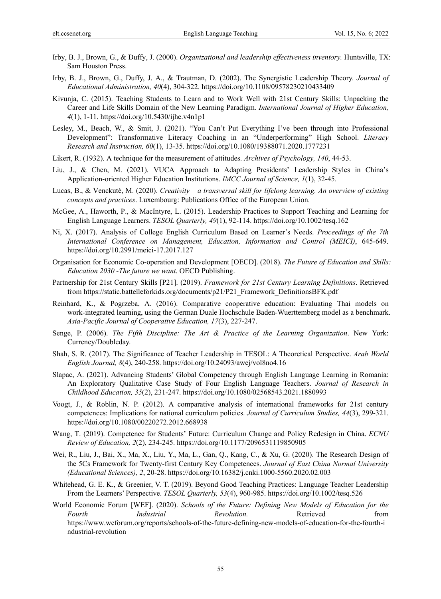- Irby, B. J., Brown, G., & Duffy, J. (2000). *Organizational and leadership effectiveness inventory.* Huntsville, TX: Sam Houston Press.
- Irby, B. J., Brown, G., Duffy, J. A., & Trautman, D. (2002). The Synergistic Leadership Theory. *Journal of Educational Administration, 40*(4), 304-322. https://doi.org/10.1108/09578230210433409
- Kivunja, C. (2015). Teaching Students to Learn and to Work Well with 21st Century Skills: Unpacking the Career and Life Skills Domain of the New Learning Paradigm. *International Journal of Higher Education, 4*(1), 1-11. https://doi.org/10.5430/ijhe.v4n1p1
- Lesley, M., Beach, W., & Smit, J. (2021). "You Can't Put Everything I've been through into Professional Development": Transformative Literacy Coaching in an "Underperforming" High School. *Literacy Research and Instruction, 60*(1), 13-35. https://doi.org/10.1080/19388071.2020.1777231
- Likert, R. (1932). A technique for the measurement of attitudes. *Archives of Psychology, 140*, 44-53.
- Liu, J., & Chen, M. (2021). VUCA Approach to Adapting Presidents' Leadership Styles in China's Application-oriented Higher Education Institutions. *IMCC Journal of Science, 1*(1), 32-45.
- Lucas, B., & Venckutė, M. (2020). *Creativity a transversal skill for lifelong learning. An overview of existing concepts and practices*. Luxembourg: Publications Office of the European Union.
- McGee, A., Haworth, P., & MacIntyre, L. (2015). Leadership Practices to Support Teaching and Learning for English Language Learners. *TESOL Quarterly, 49*(1), 92-114. https://doi.org/10.1002/tesq.162
- Ni, X. (2017). Analysis of College English Curriculum Based on Learner's Needs. *Proceedings of the 7th International Conference on Management, Education, Information and Control (MEICI)*, 645-649. https://doi.org/10.2991/meici-17.2017.127
- Organisation for Economic Co-operation and Development [OECD]. (2018). *The Future of Education and Skills: Education 2030 -The future we want*. OECD Publishing.
- Partnership for 21st Century Skills [P21]. (2019). *Framework for 21st Century Learning Definitions*. Retrieved from https://static.battelleforkids.org/documents/p21/P21\_Framework\_DefinitionsBFK.pdf
- Reinhard, K., & Pogrzeba, A. (2016). Comparative cooperative education: Evaluating Thai models on work-integrated learning, using the German Duale Hochschule Baden-Wuerttemberg model as a benchmark. *Asia-Pacific Journal of Cooperative Education, 17*(3), 227-247.
- Senge, P. (2006). *The Fifth Discipline: The Art & Practice of the Learning Organization*. New York: Currency/Doubleday.
- Shah, S. R. (2017). The Significance of Teacher Leadership in TESOL: A Theoretical Perspective. *Arab World English Journal, 8*(4), 240-258. https://doi.org/10.24093/awej/vol8no4.16
- Slapac, A. (2021). Advancing Students' Global Competency through English Language Learning in Romania: An Exploratory Qualitative Case Study of Four English Language Teachers. *Journal of Research in Childhood Education, 35*(2), 231-247. https://doi.org/10.1080/02568543.2021.1880993
- Voogt, J., & Roblin, N. P. (2012). A comparative analysis of international frameworks for 21st century competences: Implications for national curriculum policies. *Journal of Curriculum Studies, 44*(3), 299-321. https://doi.org/10.1080/00220272.2012.668938
- Wang, T. (2019). Competence for Students' Future: Curriculum Change and Policy Redesign in China. *ECNU Review of Education, 2*(2), 234-245. https://doi.org/10.1177/2096531119850905
- Wei, R., Liu, J., Bai, X., Ma, X., Liu, Y., Ma, L., Gan, Q., Kang, C., & Xu, G. (2020). The Research Design of the 5Cs Framework for Twenty-first Century Key Competences. *Journal of East China Normal University (Educational Sciences), 2*, 20-28. https://doi.org/10.16382/j.cnki.1000-5560.2020.02.003
- Whitehead, G. E. K., & Greenier, V. T. (2019). Beyond Good Teaching Practices: Language Teacher Leadership From the Learners' Perspective. *TESOL Quarterly, 53*(4), 960-985. https://doi.org/10.1002/tesq.526
- World Economic Forum [WEF]. (2020). *Schools of the Future: Defining New Models of Education for the Fourth Industrial Revolution.* Retrieved from https://www.weforum.org/reports/schools-of-the-future-defining-new-models-of-education-for-the-fourth-i ndustrial-revolution